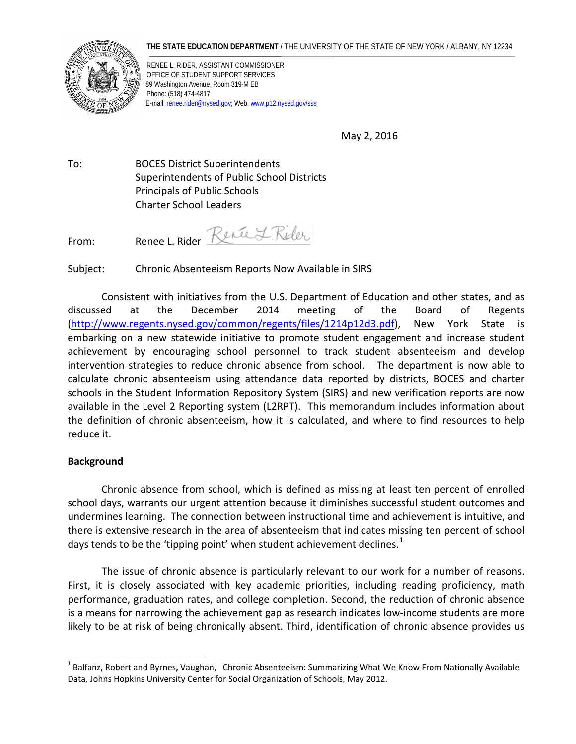#### **THE STATE EDUCATION DEPARTMENT** / THE UNIVERSITY OF THE STATE OF NEW YORK / ALBANY, NY 12234



RENEE L. RIDER, ASSISTANT COMMISSIONER OFFICE OF STUDENT SUPPORT SERVICES 89 Washington Avenue, Room 319-M EB Phone: (518) 474-4817 E-mail[: renee.rider@nysed.gov;](mailto:renee.rider@nysed.gov) Web[: www.p12.nysed.gov/sss](http://www.p12.nysed.gov/sss/)

May 2, 2016

To: BOCES District Superintendents Superintendents of Public School Districts Principals of Public Schools Charter School Leaders

From: Renee L. Rider Renée L. Rider

Subject: Chronic Absenteeism Reports Now Available in SIRS

Consistent with initiatives from the U.S. Department of Education and other states, and as discussed at the December 2014 meeting of the Board of Regents [\(http://www.regents.nysed.gov/common/regents/files/1214p12d3.pdf\)](http://www.regents.nysed.gov/common/regents/files/1214p12d3.pdf), New York State is embarking on a new statewide initiative to promote student engagement and increase student achievement by encouraging school personnel to track student absenteeism and develop intervention strategies to reduce chronic absence from school. The department is now able to calculate chronic absenteeism using attendance data reported by districts, BOCES and charter schools in the Student Information Repository System (SIRS) and new verification reports are now available in the Level 2 Reporting system (L2RPT). This memorandum includes information about the definition of chronic absenteeism, how it is calculated, and where to find resources to help reduce it.

# **Background**

 $\overline{a}$ 

Chronic absence from school, which is defined as missing at least ten percent of enrolled school days, warrants our urgent attention because it diminishes successful student outcomes and undermines learning. The connection between instructional time and achievement is intuitive, and there is extensive research in the area of absenteeism that indicates missing ten percent of school days tends to be the 'tipping point' when student achievement declines. $^1$  $^1$ 

The issue of chronic absence is particularly relevant to our work for a number of reasons. First, it is closely associated with key academic priorities, including reading proficiency, math performance, graduation rates, and college completion. Second, the reduction of chronic absence is a means for narrowing the achievement gap as research indicates low-income students are more likely to be at risk of being chronically absent. Third, identification of chronic absence provides us

<span id="page-0-0"></span><sup>1</sup> Balfanz, Robert and Byrnes**,** Vaughan, Chronic Absenteeism: Summarizing What We Know From Nationally Available Data, Johns Hopkins University Center for Social Organization of Schools, May 2012.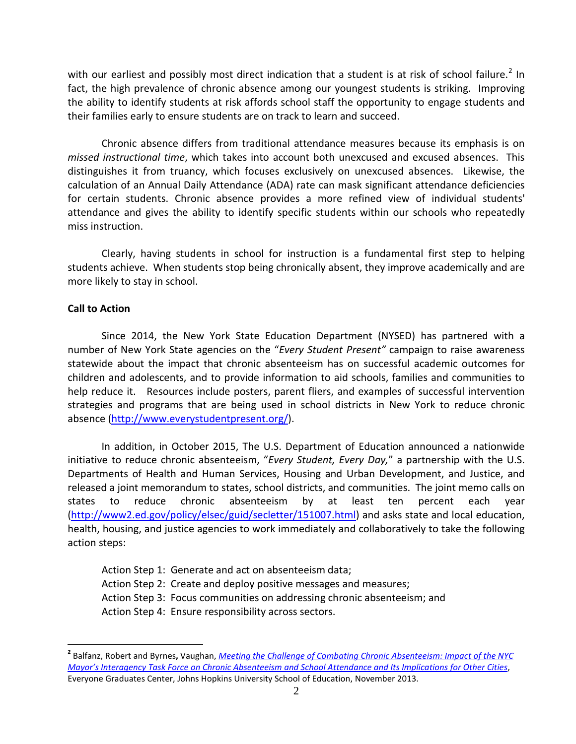with our earliest and possibly most direct indication that a student is at risk of school failure.<sup>[2](#page-1-0)</sup> In fact, the high prevalence of chronic absence among our youngest students is striking. Improving the ability to identify students at risk affords school staff the opportunity to engage students and their families early to ensure students are on track to learn and succeed.

Chronic absence differs from traditional attendance measures because its emphasis is on *missed instructional time*, which takes into account both unexcused and excused absences. This distinguishes it from truancy, which focuses exclusively on unexcused absences. Likewise, the calculation of an Annual Daily Attendance (ADA) rate can mask significant attendance deficiencies for certain students. Chronic absence provides a more refined view of individual students' attendance and gives the ability to identify specific students within our schools who repeatedly miss instruction.

Clearly, having students in school for instruction is a fundamental first step to helping students achieve. When students stop being chronically absent, they improve academically and are more likely to stay in school.

### **Call to Action**

 $\overline{a}$ 

Since 2014, the New York State Education Department (NYSED) has partnered with a number of New York State agencies on the "*Every Student Present"* campaign to raise awareness statewide about the impact that chronic absenteeism has on successful academic outcomes for children and adolescents, and to provide information to aid schools, families and communities to help reduce it. Resources include posters, parent fliers, and examples of successful intervention strategies and programs that are being used in school districts in New York to reduce chronic absence [\(http://www.everystudentpresent.org/\)](http://www.everystudentpresent.org/).

In addition, in October 2015, The U.S. Department of Education announced a nationwide initiative to reduce chronic absenteeism, "*Every Student, Every Day,*" a partnership with the U.S. Departments of Health and Human Services, Housing and Urban Development, and Justice, and released a joint memorandum to states, school districts, and communities. The joint memo calls on states to reduce chronic absenteeism by at least ten percent each year [\(http://www2.ed.gov/policy/elsec/guid/secletter/151007.html\)](http://www2.ed.gov/policy/elsec/guid/secletter/151007.html) and asks state and local education, health, housing, and justice agencies to work immediately and collaboratively to take the following action steps:

- Action Step 1: Generate and act on absenteeism data;
- Action Step 2: Create and deploy positive messages and measures;
- Action Step 3: Focus communities on addressing chronic absenteeism; and
- Action Step 4: Ensure responsibility across sectors.

<span id="page-1-0"></span>**<sup>2</sup>** Balfanz, Robert and Byrnes**,** Vaughan, *[Meeting the Challenge of Combating Chronic Absenteeism: Impact of the NYC](http://www.attendanceworks.org/wordpress/wp-content/uploads/2014/01/NYC-Chronic-Absenteeism-Impact-Report-Nov-2013.pdf)  [Mayor's Interagency Task Force on Chronic Absenteeism and School Attendance and Its Implications for Other Cities](http://www.attendanceworks.org/wordpress/wp-content/uploads/2014/01/NYC-Chronic-Absenteeism-Impact-Report-Nov-2013.pdf)*, Everyone Graduates Center, Johns Hopkins University School of Education, November 2013.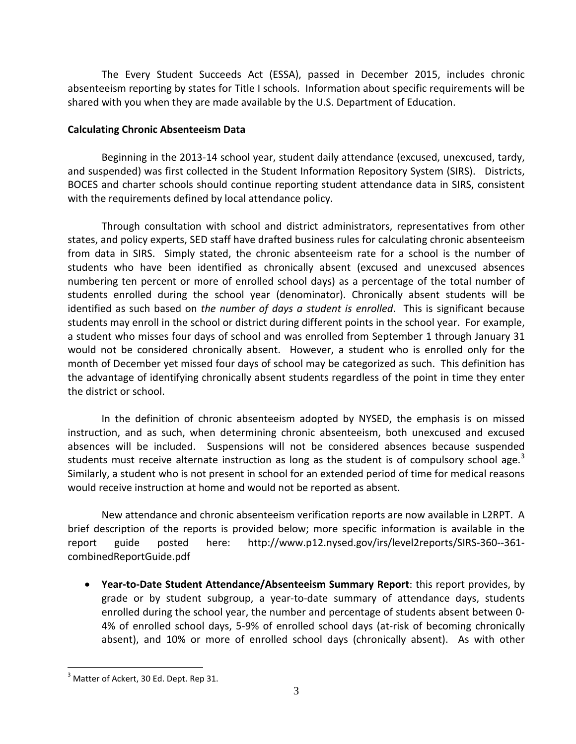The Every Student Succeeds Act (ESSA), passed in December 2015, includes chronic absenteeism reporting by states for Title I schools. Information about specific requirements will be shared with you when they are made available by the U.S. Department of Education.

# **Calculating Chronic Absenteeism Data**

Beginning in the 2013-14 school year, student daily attendance (excused, unexcused, tardy, and suspended) was first collected in the Student Information Repository System (SIRS). Districts, BOCES and charter schools should continue reporting student attendance data in SIRS, consistent with the requirements defined by local attendance policy.

Through consultation with school and district administrators, representatives from other states, and policy experts, SED staff have drafted business rules for calculating chronic absenteeism from data in SIRS. Simply stated, the chronic absenteeism rate for a school is the number of students who have been identified as chronically absent (excused and unexcused absences numbering ten percent or more of enrolled school days) as a percentage of the total number of students enrolled during the school year (denominator). Chronically absent students will be identified as such based on *the number of days a student is enrolled*. This is significant because students may enroll in the school or district during different points in the school year. For example, a student who misses four days of school and was enrolled from September 1 through January 31 would not be considered chronically absent. However, a student who is enrolled only for the month of December yet missed four days of school may be categorized as such. This definition has the advantage of identifying chronically absent students regardless of the point in time they enter the district or school.

In the definition of chronic absenteeism adopted by NYSED, the emphasis is on missed instruction, and as such, when determining chronic absenteeism, both unexcused and excused absences will be included. Suspensions will not be considered absences because suspended students must receive alternate instruction as long as the student is of compulsory school age.<sup>[3](#page-2-0)</sup> Similarly, a student who is not present in school for an extended period of time for medical reasons would receive instruction at home and would not be reported as absent.

New attendance and chronic absenteeism verification reports are now available in L2RPT. A brief description of the reports is provided below; more specific information is available in the report guide posted here: http://www.p12.nysed.gov/irs/level2reports/SIRS-360--361 combinedReportGuide.pdf

• **Year-to-Date Student Attendance/Absenteeism Summary Report**: this report provides, by grade or by student subgroup, a year-to-date summary of attendance days, students enrolled during the school year, the number and percentage of students absent between 0- 4% of enrolled school days, 5-9% of enrolled school days (at-risk of becoming chronically absent), and 10% or more of enrolled school days (chronically absent). As with other

 $\overline{a}$ 

<span id="page-2-0"></span><sup>&</sup>lt;sup>3</sup> Matter of Ackert, 30 Ed. Dept. Rep 31.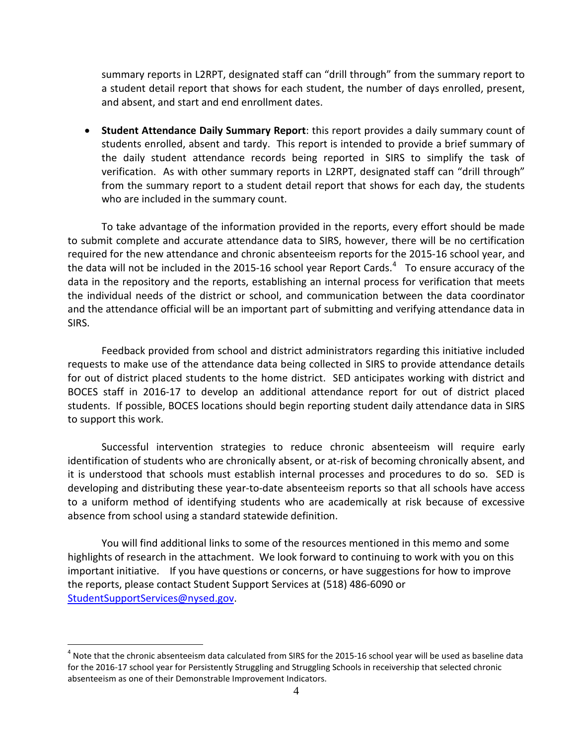summary reports in L2RPT, designated staff can "drill through" from the summary report to a student detail report that shows for each student, the number of days enrolled, present, and absent, and start and end enrollment dates.

• **Student Attendance Daily Summary Report**: this report provides a daily summary count of students enrolled, absent and tardy. This report is intended to provide a brief summary of the daily student attendance records being reported in SIRS to simplify the task of verification. As with other summary reports in L2RPT, designated staff can "drill through" from the summary report to a student detail report that shows for each day, the students who are included in the summary count.

To take advantage of the information provided in the reports, every effort should be made to submit complete and accurate attendance data to SIRS, however, there will be no certification required for the new attendance and chronic absenteeism reports for the 2015-16 school year, and the data will not be included in the 2015-16 school year Report Cards.<sup>[4](#page-3-0)</sup> To ensure accuracy of the data in the repository and the reports, establishing an internal process for verification that meets the individual needs of the district or school, and communication between the data coordinator and the attendance official will be an important part of submitting and verifying attendance data in SIRS.

Feedback provided from school and district administrators regarding this initiative included requests to make use of the attendance data being collected in SIRS to provide attendance details for out of district placed students to the home district. SED anticipates working with district and BOCES staff in 2016-17 to develop an additional attendance report for out of district placed students. If possible, BOCES locations should begin reporting student daily attendance data in SIRS to support this work.

Successful intervention strategies to reduce chronic absenteeism will require early identification of students who are chronically absent, or at-risk of becoming chronically absent, and it is understood that schools must establish internal processes and procedures to do so. SED is developing and distributing these year-to-date absenteeism reports so that all schools have access to a uniform method of identifying students who are academically at risk because of excessive absence from school using a standard statewide definition.

You will find additional links to some of the resources mentioned in this memo and some highlights of research in the attachment. We look forward to continuing to work with you on this important initiative. If you have questions or concerns, or have suggestions for how to improve the reports, please contact Student Support Services at (518) 486-6090 or [StudentSupportServices@nysed.gov.](mailto:StudentSupportServices@nysed.gov?subject=Chronic%20Absenteeism)

<span id="page-3-0"></span> $4$  Note that the chronic absenteeism data calculated from SIRS for the 2015-16 school year will be used as baseline data for the 2016-17 school year for Persistently Struggling and Struggling Schools in receivership that selected chronic absenteeism as one of their Demonstrable Improvement Indicators.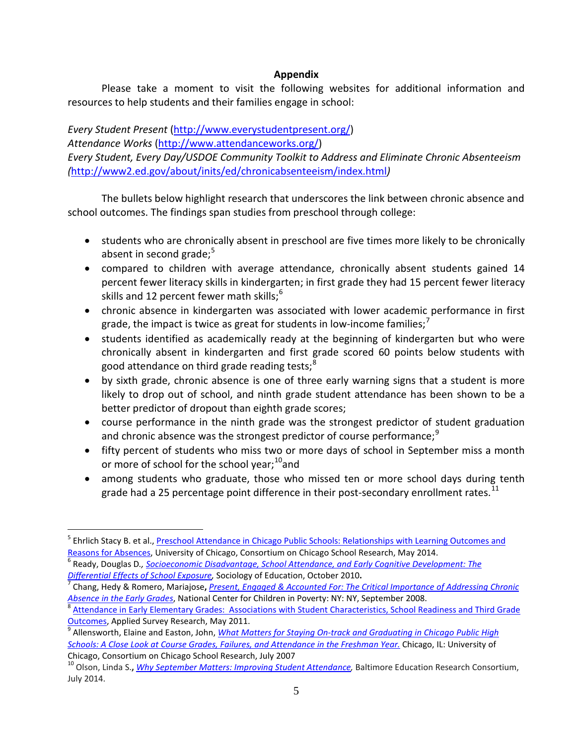# **Appendix**

Please take a moment to visit the following websites for additional information and resources to help students and their families engage in school:

*Every Student Present* [\(http://www.everystudentpresent.org/\)](http://www.everystudentpresent.org/) *Attendance Works* [\(http://www.attendanceworks.org/\)](http://www.attendanceworks.org/) *Every Student, Every Day/USDOE Community Toolkit to Address and Eliminate Chronic Absenteeism (*<http://www2.ed.gov/about/inits/ed/chronicabsenteeism/index.html>*)* 

The bullets below highlight research that underscores the link between chronic absence and school outcomes. The findings span studies from preschool through college:

- students who are chronically absent in preschool are five times more likely to be chronically absent in second grade; $5$
- compared to children with average attendance, chronically absent students gained 14 percent fewer literacy skills in kindergarten; in first grade they had 15 percent fewer literacy skills and 12 percent fewer math skills;<sup>[6](#page-4-1)</sup>
- chronic absence in kindergarten was associated with lower academic performance in first grade, the impact is twice as great for students in low-income families;  $^7$  $^7$
- students identified as academically ready at the beginning of kindergarten but who were chronically absent in kindergarten and first grade scored 60 points below students with good attendance on third grade reading tests;<sup>[8](#page-4-3)</sup>
- by sixth grade, chronic absence is one of three early warning signs that a student is more likely to drop out of school, and ninth grade student attendance has been shown to be a better predictor of dropout than eighth grade scores;
- course performance in the ninth grade was the strongest predictor of student graduation and chronic absence was the strongest predictor of course performance;<sup>[9](#page-4-4)</sup>
- fifty percent of students who miss two or more days of school in September miss a month or more of school for the school year;<sup>[10](#page-4-5)</sup>and
- among students who graduate, those who missed ten or more school days during tenth grade had a 25 percentage point difference in their post-secondary enrollment rates.<sup>[11](#page-4-6)</sup>

 $\overline{a}$ 

<span id="page-4-0"></span><sup>&</sup>lt;sup>5</sup> Ehrlich Stacy B. et al., Preschool Attendance in Chicago Public Schools: Relationships with Learning Outcomes and [Reasons for Absences,](http://www.attendanceworks.org/wordpress/wp-content/uploads/2014/06/CCSR-Pre-K-Attendance-Full-Report-May-2014-revised.pdf) University of Chicago, Consortium on Chicago School Research, May 2014.<br><sup>6</sup> Ready, Douglas D., *Socioeconomic Disadvantage, School Attendance, and Early Cognitive Development: The* 

<span id="page-4-1"></span>*[Differential Effects of School Exposure,](http://www.attendancecounts.org/wordpress/wp-content/uploads/2010/04/Ready-2010-2.pdf)* Sociology of Education, October 2010**.** <sup>7</sup> Chang, Hedy & Romero, Mariajose**,** *[Present, Engaged & Accounted For: The Critical Importance of Addressing Chronic](http://www.nccp.org/publications/pub_837.html)* 

<span id="page-4-2"></span>*[Absence in the Early Grades](http://www.nccp.org/publications/pub_837.html),* National Center for Children in Poverty: NY: NY, September 2008.<br><sup>8</sup> Attendance in Early Elementary Grades: Associations with Student Characteristics, School Readiness and Third Grade

<span id="page-4-3"></span>[Outcomes,](http://www.attendanceworks.org/wordpress/wp-content/uploads/2010/12/ASR-Mini-Report-Attendance-Readiness-and-Third-Grade-Outcomes-7-8-11.pdf) Applied Survey Research, May 2011.<br><sup>[9](http://www.attendanceworks.org/wordpress/wp-content/uploads/2010/12/ASR-Mini-Report-Attendance-Readiness-and-Third-Grade-Outcomes-7-8-11.pdf)</sup> Allensworth, Elaine and Easton, John, *What Matters for Staying On-track and Graduating in Chicago Public High* 

<span id="page-4-4"></span>*[Schools: A Close Look at Course Grades, Failures, and Attendance in the Freshman Year.](http://ccsr.uchicago.edu/sites/default/files/publications/07%20What%20Matters%20Final.pdf)* Chicago, IL: University of Chicago, Consortium on Chicago School Research, July 2007

<span id="page-4-6"></span><span id="page-4-5"></span><sup>10</sup> Olson, Linda S.**,** *[Why September Matters: Improving Student Attendance,](http://baltimore-berc.org/wp-content/uploads/2014/08/SeptemberAttendanceBriefJuly2014.pdf)* Baltimore Education Research Consortium, July 2014.